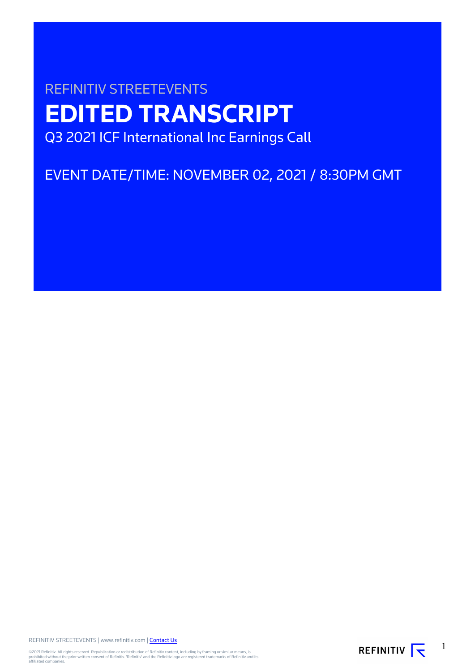# REFINITIV STREETEVENTS **EDITED TRANSCRIPT** Q3 2021 ICF International Inc Earnings Call

EVENT DATE/TIME: NOVEMBER 02, 2021 / 8:30PM GMT

REFINITIV STREETEVENTS | www.refinitiv.com | [Contact Us](https://www.refinitiv.com/en/contact-us)

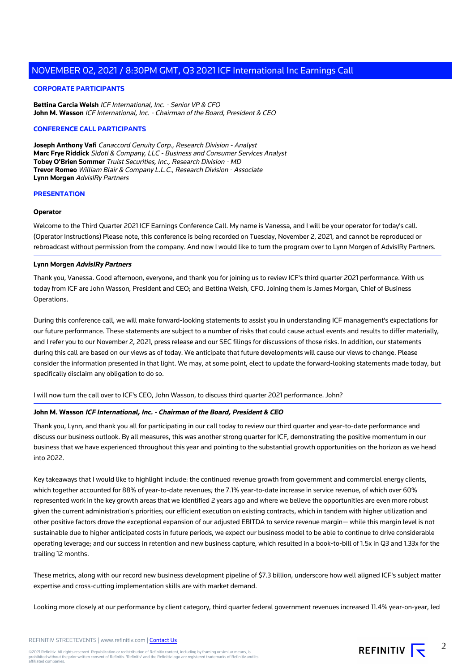# **CORPORATE PARTICIPANTS**

**Bettina Garcia Welsh** ICF International, Inc. - Senior VP & CFO **John M. Wasson** ICF International, Inc. - Chairman of the Board, President & CEO

# **CONFERENCE CALL PARTICIPANTS**

**Joseph Anthony Vafi** Canaccord Genuity Corp., Research Division - Analyst **Marc Frye Riddick** Sidoti & Company, LLC - Business and Consumer Services Analyst **Tobey O'Brien Sommer** Truist Securities, Inc., Research Division - MD **Trevor Romeo** William Blair & Company L.L.C., Research Division - Associate **Lynn Morgen** AdvisIRy Partners

## **PRESENTATION**

## **Operator**

Welcome to the Third Quarter 2021 ICF Earnings Conference Call. My name is Vanessa, and I will be your operator for today's call. (Operator Instructions) Please note, this conference is being recorded on Tuesday, November 2, 2021, and cannot be reproduced or rebroadcast without permission from the company. And now I would like to turn the program over to Lynn Morgen of AdvisIRy Partners.

## **Lynn Morgen AdvisIRy Partners**

Thank you, Vanessa. Good afternoon, everyone, and thank you for joining us to review ICF's third quarter 2021 performance. With us today from ICF are John Wasson, President and CEO; and Bettina Welsh, CFO. Joining them is James Morgan, Chief of Business Operations.

During this conference call, we will make forward-looking statements to assist you in understanding ICF management's expectations for our future performance. These statements are subject to a number of risks that could cause actual events and results to differ materially, and I refer you to our November 2, 2021, press release and our SEC filings for discussions of those risks. In addition, our statements during this call are based on our views as of today. We anticipate that future developments will cause our views to change. Please consider the information presented in that light. We may, at some point, elect to update the forward-looking statements made today, but specifically disclaim any obligation to do so.

I will now turn the call over to ICF's CEO, John Wasson, to discuss third quarter 2021 performance. John?

# **John M. Wasson ICF International, Inc. - Chairman of the Board, President & CEO**

Thank you, Lynn, and thank you all for participating in our call today to review our third quarter and year-to-date performance and discuss our business outlook. By all measures, this was another strong quarter for ICF, demonstrating the positive momentum in our business that we have experienced throughout this year and pointing to the substantial growth opportunities on the horizon as we head into 2022.

Key takeaways that I would like to highlight include: the continued revenue growth from government and commercial energy clients, which together accounted for 88% of year-to-date revenues; the 7.1% year-to-date increase in service revenue, of which over 60% represented work in the key growth areas that we identified 2 years ago and where we believe the opportunities are even more robust given the current administration's priorities; our efficient execution on existing contracts, which in tandem with higher utilization and other positive factors drove the exceptional expansion of our adjusted EBITDA to service revenue margin— while this margin level is not sustainable due to higher anticipated costs in future periods, we expect our business model to be able to continue to drive considerable operating leverage; and our success in retention and new business capture, which resulted in a book-to-bill of 1.5x in Q3 and 1.33x for the trailing 12 months.

These metrics, along with our record new business development pipeline of \$7.3 billion, underscore how well aligned ICF's subject matter expertise and cross-cutting implementation skills are with market demand.

Looking more closely at our performance by client category, third quarter federal government revenues increased 11.4% year-on-year, led

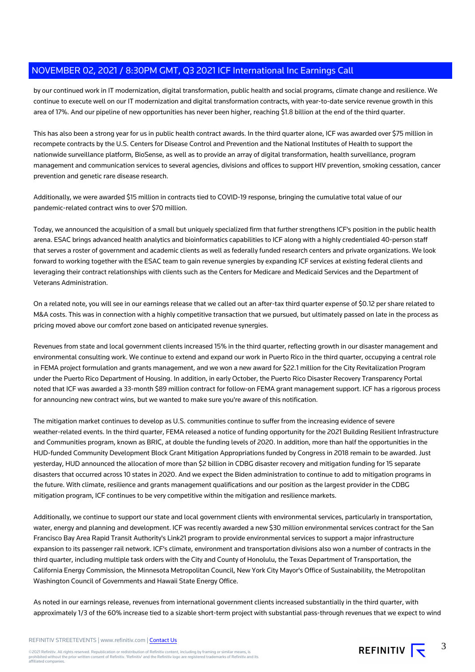by our continued work in IT modernization, digital transformation, public health and social programs, climate change and resilience. We continue to execute well on our IT modernization and digital transformation contracts, with year-to-date service revenue growth in this area of 17%. And our pipeline of new opportunities has never been higher, reaching \$1.8 billion at the end of the third quarter.

This has also been a strong year for us in public health contract awards. In the third quarter alone, ICF was awarded over \$75 million in recompete contracts by the U.S. Centers for Disease Control and Prevention and the National Institutes of Health to support the nationwide surveillance platform, BioSense, as well as to provide an array of digital transformation, health surveillance, program management and communication services to several agencies, divisions and offices to support HIV prevention, smoking cessation, cancer prevention and genetic rare disease research.

Additionally, we were awarded \$15 million in contracts tied to COVID-19 response, bringing the cumulative total value of our pandemic-related contract wins to over \$70 million.

Today, we announced the acquisition of a small but uniquely specialized firm that further strengthens ICF's position in the public health arena. ESAC brings advanced health analytics and bioinformatics capabilities to ICF along with a highly credentialed 40-person staff that serves a roster of government and academic clients as well as federally funded research centers and private organizations. We look forward to working together with the ESAC team to gain revenue synergies by expanding ICF services at existing federal clients and leveraging their contract relationships with clients such as the Centers for Medicare and Medicaid Services and the Department of Veterans Administration.

On a related note, you will see in our earnings release that we called out an after-tax third quarter expense of \$0.12 per share related to M&A costs. This was in connection with a highly competitive transaction that we pursued, but ultimately passed on late in the process as pricing moved above our comfort zone based on anticipated revenue synergies.

Revenues from state and local government clients increased 15% in the third quarter, reflecting growth in our disaster management and environmental consulting work. We continue to extend and expand our work in Puerto Rico in the third quarter, occupying a central role in FEMA project formulation and grants management, and we won a new award for \$22.1 million for the City Revitalization Program under the Puerto Rico Department of Housing. In addition, in early October, the Puerto Rico Disaster Recovery Transparency Portal noted that ICF was awarded a 33-month \$89 million contract for follow-on FEMA grant management support. ICF has a rigorous process for announcing new contract wins, but we wanted to make sure you're aware of this notification.

The mitigation market continues to develop as U.S. communities continue to suffer from the increasing evidence of severe weather-related events. In the third quarter, FEMA released a notice of funding opportunity for the 2021 Building Resilient Infrastructure and Communities program, known as BRIC, at double the funding levels of 2020. In addition, more than half the opportunities in the HUD-funded Community Development Block Grant Mitigation Appropriations funded by Congress in 2018 remain to be awarded. Just yesterday, HUD announced the allocation of more than \$2 billion in CDBG disaster recovery and mitigation funding for 15 separate disasters that occurred across 10 states in 2020. And we expect the Biden administration to continue to add to mitigation programs in the future. With climate, resilience and grants management qualifications and our position as the largest provider in the CDBG mitigation program, ICF continues to be very competitive within the mitigation and resilience markets.

Additionally, we continue to support our state and local government clients with environmental services, particularly in transportation, water, energy and planning and development. ICF was recently awarded a new \$30 million environmental services contract for the San Francisco Bay Area Rapid Transit Authority's Link21 program to provide environmental services to support a major infrastructure expansion to its passenger rail network. ICF's climate, environment and transportation divisions also won a number of contracts in the third quarter, including multiple task orders with the City and County of Honolulu, the Texas Department of Transportation, the California Energy Commission, the Minnesota Metropolitan Council, New York City Mayor's Office of Sustainability, the Metropolitan Washington Council of Governments and Hawaii State Energy Office.

As noted in our earnings release, revenues from international government clients increased substantially in the third quarter, with approximately 1/3 of the 60% increase tied to a sizable short-term project with substantial pass-through revenues that we expect to wind

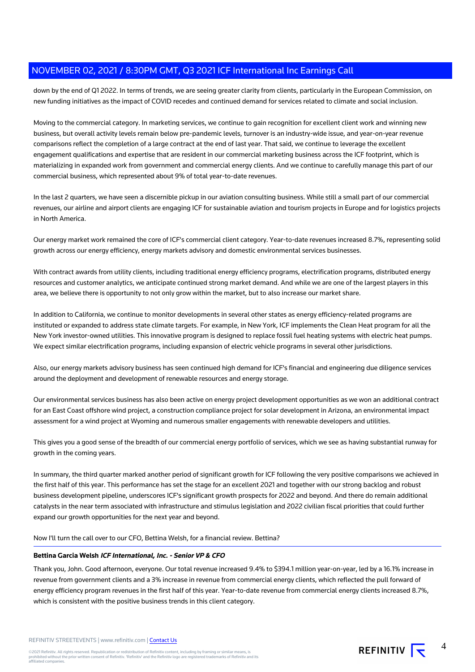down by the end of Q1 2022. In terms of trends, we are seeing greater clarity from clients, particularly in the European Commission, on new funding initiatives as the impact of COVID recedes and continued demand for services related to climate and social inclusion.

Moving to the commercial category. In marketing services, we continue to gain recognition for excellent client work and winning new business, but overall activity levels remain below pre-pandemic levels, turnover is an industry-wide issue, and year-on-year revenue comparisons reflect the completion of a large contract at the end of last year. That said, we continue to leverage the excellent engagement qualifications and expertise that are resident in our commercial marketing business across the ICF footprint, which is materializing in expanded work from government and commercial energy clients. And we continue to carefully manage this part of our commercial business, which represented about 9% of total year-to-date revenues.

In the last 2 quarters, we have seen a discernible pickup in our aviation consulting business. While still a small part of our commercial revenues, our airline and airport clients are engaging ICF for sustainable aviation and tourism projects in Europe and for logistics projects in North America.

Our energy market work remained the core of ICF's commercial client category. Year-to-date revenues increased 8.7%, representing solid growth across our energy efficiency, energy markets advisory and domestic environmental services businesses.

With contract awards from utility clients, including traditional energy efficiency programs, electrification programs, distributed energy resources and customer analytics, we anticipate continued strong market demand. And while we are one of the largest players in this area, we believe there is opportunity to not only grow within the market, but to also increase our market share.

In addition to California, we continue to monitor developments in several other states as energy efficiency-related programs are instituted or expanded to address state climate targets. For example, in New York, ICF implements the Clean Heat program for all the New York investor-owned utilities. This innovative program is designed to replace fossil fuel heating systems with electric heat pumps. We expect similar electrification programs, including expansion of electric vehicle programs in several other jurisdictions.

Also, our energy markets advisory business has seen continued high demand for ICF's financial and engineering due diligence services around the deployment and development of renewable resources and energy storage.

Our environmental services business has also been active on energy project development opportunities as we won an additional contract for an East Coast offshore wind project, a construction compliance project for solar development in Arizona, an environmental impact assessment for a wind project at Wyoming and numerous smaller engagements with renewable developers and utilities.

This gives you a good sense of the breadth of our commercial energy portfolio of services, which we see as having substantial runway for growth in the coming years.

In summary, the third quarter marked another period of significant growth for ICF following the very positive comparisons we achieved in the first half of this year. This performance has set the stage for an excellent 2021 and together with our strong backlog and robust business development pipeline, underscores ICF's significant growth prospects for 2022 and beyond. And there do remain additional catalysts in the near term associated with infrastructure and stimulus legislation and 2022 civilian fiscal priorities that could further expand our growth opportunities for the next year and beyond.

Now I'll turn the call over to our CFO, Bettina Welsh, for a financial review. Bettina?

# **Bettina Garcia Welsh ICF International, Inc. - Senior VP & CFO**

Thank you, John. Good afternoon, everyone. Our total revenue increased 9.4% to \$394.1 million year-on-year, led by a 16.1% increase in revenue from government clients and a 3% increase in revenue from commercial energy clients, which reflected the pull forward of energy efficiency program revenues in the first half of this year. Year-to-date revenue from commercial energy clients increased 8.7%, which is consistent with the positive business trends in this client category.



4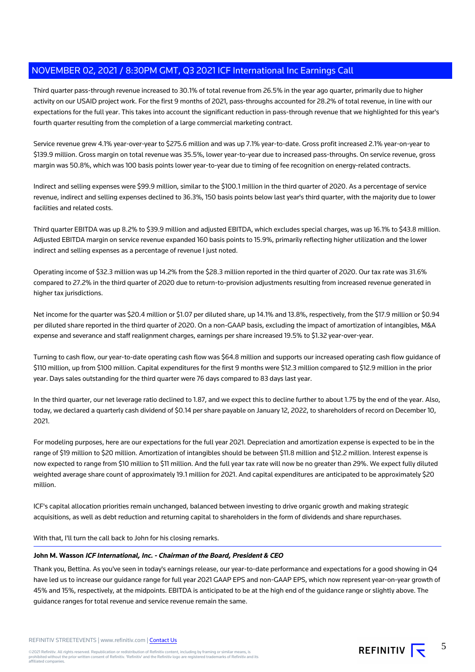Third quarter pass-through revenue increased to 30.1% of total revenue from 26.5% in the year ago quarter, primarily due to higher activity on our USAID project work. For the first 9 months of 2021, pass-throughs accounted for 28.2% of total revenue, in line with our expectations for the full year. This takes into account the significant reduction in pass-through revenue that we highlighted for this year's fourth quarter resulting from the completion of a large commercial marketing contract.

Service revenue grew 4.1% year-over-year to \$275.6 million and was up 7.1% year-to-date. Gross profit increased 2.1% year-on-year to \$139.9 million. Gross margin on total revenue was 35.5%, lower year-to-year due to increased pass-throughs. On service revenue, gross margin was 50.8%, which was 100 basis points lower year-to-year due to timing of fee recognition on energy-related contracts.

Indirect and selling expenses were \$99.9 million, similar to the \$100.1 million in the third quarter of 2020. As a percentage of service revenue, indirect and selling expenses declined to 36.3%, 150 basis points below last year's third quarter, with the majority due to lower facilities and related costs.

Third quarter EBITDA was up 8.2% to \$39.9 million and adjusted EBITDA, which excludes special charges, was up 16.1% to \$43.8 million. Adjusted EBITDA margin on service revenue expanded 160 basis points to 15.9%, primarily reflecting higher utilization and the lower indirect and selling expenses as a percentage of revenue I just noted.

Operating income of \$32.3 million was up 14.2% from the \$28.3 million reported in the third quarter of 2020. Our tax rate was 31.6% compared to 27.2% in the third quarter of 2020 due to return-to-provision adjustments resulting from increased revenue generated in higher tax jurisdictions.

Net income for the quarter was \$20.4 million or \$1.07 per diluted share, up 14.1% and 13.8%, respectively, from the \$17.9 million or \$0.94 per diluted share reported in the third quarter of 2020. On a non-GAAP basis, excluding the impact of amortization of intangibles, M&A expense and severance and staff realignment charges, earnings per share increased 19.5% to \$1.32 year-over-year.

Turning to cash flow, our year-to-date operating cash flow was \$64.8 million and supports our increased operating cash flow guidance of \$110 million, up from \$100 million. Capital expenditures for the first 9 months were \$12.3 million compared to \$12.9 million in the prior year. Days sales outstanding for the third quarter were 76 days compared to 83 days last year.

In the third quarter, our net leverage ratio declined to 1.87, and we expect this to decline further to about 1.75 by the end of the year. Also, today, we declared a quarterly cash dividend of \$0.14 per share payable on January 12, 2022, to shareholders of record on December 10, 2021.

For modeling purposes, here are our expectations for the full year 2021. Depreciation and amortization expense is expected to be in the range of \$19 million to \$20 million. Amortization of intangibles should be between \$11.8 million and \$12.2 million. Interest expense is now expected to range from \$10 million to \$11 million. And the full year tax rate will now be no greater than 29%. We expect fully diluted weighted average share count of approximately 19.1 million for 2021. And capital expenditures are anticipated to be approximately \$20 million.

ICF's capital allocation priorities remain unchanged, balanced between investing to drive organic growth and making strategic acquisitions, as well as debt reduction and returning capital to shareholders in the form of dividends and share repurchases.

With that, I'll turn the call back to John for his closing remarks.

# **John M. Wasson ICF International, Inc. - Chairman of the Board, President & CEO**

Thank you, Bettina. As you've seen in today's earnings release, our year-to-date performance and expectations for a good showing in Q4 have led us to increase our guidance range for full year 2021 GAAP EPS and non-GAAP EPS, which now represent year-on-year growth of 45% and 15%, respectively, at the midpoints. EBITDA is anticipated to be at the high end of the guidance range or slightly above. The guidance ranges for total revenue and service revenue remain the same.

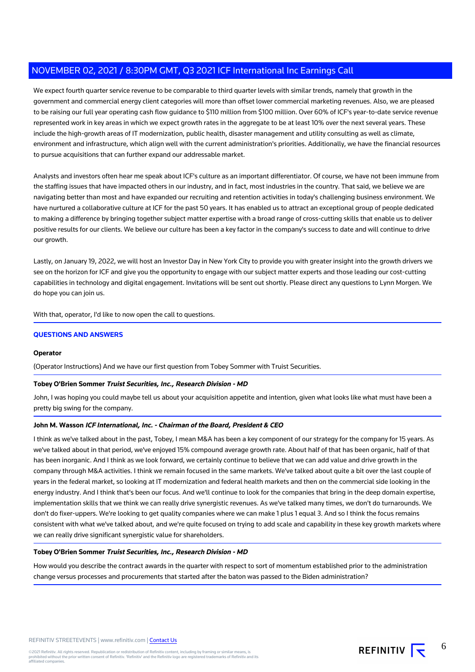We expect fourth quarter service revenue to be comparable to third quarter levels with similar trends, namely that growth in the government and commercial energy client categories will more than offset lower commercial marketing revenues. Also, we are pleased to be raising our full year operating cash flow guidance to \$110 million from \$100 million. Over 60% of ICF's year-to-date service revenue represented work in key areas in which we expect growth rates in the aggregate to be at least 10% over the next several years. These include the high-growth areas of IT modernization, public health, disaster management and utility consulting as well as climate, environment and infrastructure, which align well with the current administration's priorities. Additionally, we have the financial resources to pursue acquisitions that can further expand our addressable market.

Analysts and investors often hear me speak about ICF's culture as an important differentiator. Of course, we have not been immune from the staffing issues that have impacted others in our industry, and in fact, most industries in the country. That said, we believe we are navigating better than most and have expanded our recruiting and retention activities in today's challenging business environment. We have nurtured a collaborative culture at ICF for the past 50 years. It has enabled us to attract an exceptional group of people dedicated to making a difference by bringing together subject matter expertise with a broad range of cross-cutting skills that enable us to deliver positive results for our clients. We believe our culture has been a key factor in the company's success to date and will continue to drive our growth.

Lastly, on January 19, 2022, we will host an Investor Day in New York City to provide you with greater insight into the growth drivers we see on the horizon for ICF and give you the opportunity to engage with our subject matter experts and those leading our cost-cutting capabilities in technology and digital engagement. Invitations will be sent out shortly. Please direct any questions to Lynn Morgen. We do hope you can join us.

With that, operator, I'd like to now open the call to questions.

# **QUESTIONS AND ANSWERS**

#### **Operator**

(Operator Instructions) And we have our first question from Tobey Sommer with Truist Securities.

# **Tobey O'Brien Sommer Truist Securities, Inc., Research Division - MD**

John, I was hoping you could maybe tell us about your acquisition appetite and intention, given what looks like what must have been a pretty big swing for the company.

# **John M. Wasson ICF International, Inc. - Chairman of the Board, President & CEO**

I think as we've talked about in the past, Tobey, I mean M&A has been a key component of our strategy for the company for 15 years. As we've talked about in that period, we've enjoyed 15% compound average growth rate. About half of that has been organic, half of that has been inorganic. And I think as we look forward, we certainly continue to believe that we can add value and drive growth in the company through M&A activities. I think we remain focused in the same markets. We've talked about quite a bit over the last couple of years in the federal market, so looking at IT modernization and federal health markets and then on the commercial side looking in the energy industry. And I think that's been our focus. And we'll continue to look for the companies that bring in the deep domain expertise, implementation skills that we think we can really drive synergistic revenues. As we've talked many times, we don't do turnarounds. We don't do fixer-uppers. We're looking to get quality companies where we can make 1 plus 1 equal 3. And so I think the focus remains consistent with what we've talked about, and we're quite focused on trying to add scale and capability in these key growth markets where we can really drive significant synergistic value for shareholders.

# **Tobey O'Brien Sommer Truist Securities, Inc., Research Division - MD**

How would you describe the contract awards in the quarter with respect to sort of momentum established prior to the administration change versus processes and procurements that started after the baton was passed to the Biden administration?

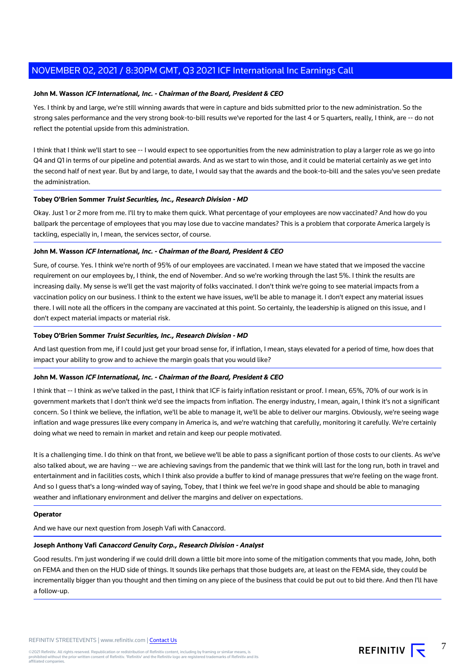# **John M. Wasson ICF International, Inc. - Chairman of the Board, President & CEO**

Yes. I think by and large, we're still winning awards that were in capture and bids submitted prior to the new administration. So the strong sales performance and the very strong book-to-bill results we've reported for the last 4 or 5 quarters, really, I think, are -- do not reflect the potential upside from this administration.

I think that I think we'll start to see -- I would expect to see opportunities from the new administration to play a larger role as we go into Q4 and Q1 in terms of our pipeline and potential awards. And as we start to win those, and it could be material certainly as we get into the second half of next year. But by and large, to date, I would say that the awards and the book-to-bill and the sales you've seen predate the administration.

#### **Tobey O'Brien Sommer Truist Securities, Inc., Research Division - MD**

Okay. Just 1 or 2 more from me. I'll try to make them quick. What percentage of your employees are now vaccinated? And how do you ballpark the percentage of employees that you may lose due to vaccine mandates? This is a problem that corporate America largely is tackling, especially in, I mean, the services sector, of course.

# **John M. Wasson ICF International, Inc. - Chairman of the Board, President & CEO**

Sure, of course. Yes. I think we're north of 95% of our employees are vaccinated. I mean we have stated that we imposed the vaccine requirement on our employees by, I think, the end of November. And so we're working through the last 5%. I think the results are increasing daily. My sense is we'll get the vast majority of folks vaccinated. I don't think we're going to see material impacts from a vaccination policy on our business. I think to the extent we have issues, we'll be able to manage it. I don't expect any material issues there. I will note all the officers in the company are vaccinated at this point. So certainly, the leadership is aligned on this issue, and I don't expect material impacts or material risk.

#### **Tobey O'Brien Sommer Truist Securities, Inc., Research Division - MD**

And last question from me, if I could just get your broad sense for, if inflation, I mean, stays elevated for a period of time, how does that impact your ability to grow and to achieve the margin goals that you would like?

#### **John M. Wasson ICF International, Inc. - Chairman of the Board, President & CEO**

I think that -- I think as we've talked in the past, I think that ICF is fairly inflation resistant or proof. I mean, 65%, 70% of our work is in government markets that I don't think we'd see the impacts from inflation. The energy industry, I mean, again, I think it's not a significant concern. So I think we believe, the inflation, we'll be able to manage it, we'll be able to deliver our margins. Obviously, we're seeing wage inflation and wage pressures like every company in America is, and we're watching that carefully, monitoring it carefully. We're certainly doing what we need to remain in market and retain and keep our people motivated.

It is a challenging time. I do think on that front, we believe we'll be able to pass a significant portion of those costs to our clients. As we've also talked about, we are having -- we are achieving savings from the pandemic that we think will last for the long run, both in travel and entertainment and in facilities costs, which I think also provide a buffer to kind of manage pressures that we're feeling on the wage front. And so I guess that's a long-winded way of saying, Tobey, that I think we feel we're in good shape and should be able to managing weather and inflationary environment and deliver the margins and deliver on expectations.

#### **Operator**

And we have our next question from Joseph Vafi with Canaccord.

# **Joseph Anthony Vafi Canaccord Genuity Corp., Research Division - Analyst**

Good results. I'm just wondering if we could drill down a little bit more into some of the mitigation comments that you made, John, both on FEMA and then on the HUD side of things. It sounds like perhaps that those budgets are, at least on the FEMA side, they could be incrementally bigger than you thought and then timing on any piece of the business that could be put out to bid there. And then I'll have a follow-up.

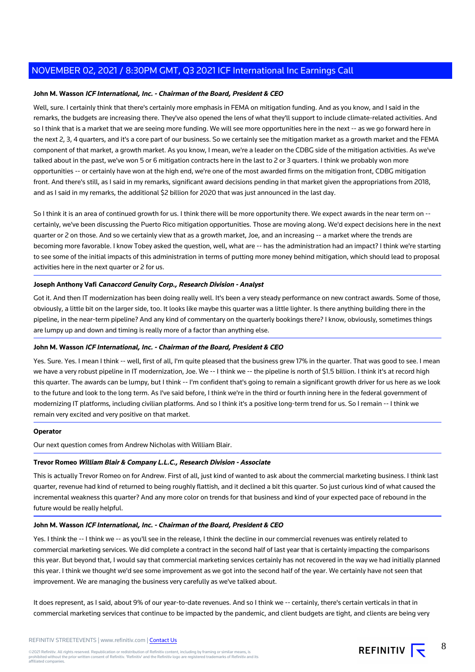# **John M. Wasson ICF International, Inc. - Chairman of the Board, President & CEO**

Well, sure. I certainly think that there's certainly more emphasis in FEMA on mitigation funding. And as you know, and I said in the remarks, the budgets are increasing there. They've also opened the lens of what they'll support to include climate-related activities. And so I think that is a market that we are seeing more funding. We will see more opportunities here in the next -- as we go forward here in the next 2, 3, 4 quarters, and it's a core part of our business. So we certainly see the mitigation market as a growth market and the FEMA component of that market, a growth market. As you know, I mean, we're a leader on the CDBG side of the mitigation activities. As we've talked about in the past, we've won 5 or 6 mitigation contracts here in the last to 2 or 3 quarters. I think we probably won more opportunities -- or certainly have won at the high end, we're one of the most awarded firms on the mitigation front, CDBG mitigation front. And there's still, as I said in my remarks, significant award decisions pending in that market given the appropriations from 2018, and as I said in my remarks, the additional \$2 billion for 2020 that was just announced in the last day.

So I think it is an area of continued growth for us. I think there will be more opportunity there. We expect awards in the near term on -certainly, we've been discussing the Puerto Rico mitigation opportunities. Those are moving along. We'd expect decisions here in the next quarter or 2 on those. And so we certainly view that as a growth market, Joe, and an increasing -- a market where the trends are becoming more favorable. I know Tobey asked the question, well, what are -- has the administration had an impact? I think we're starting to see some of the initial impacts of this administration in terms of putting more money behind mitigation, which should lead to proposal activities here in the next quarter or 2 for us.

## **Joseph Anthony Vafi Canaccord Genuity Corp., Research Division - Analyst**

Got it. And then IT modernization has been doing really well. It's been a very steady performance on new contract awards. Some of those, obviously, a little bit on the larger side, too. It looks like maybe this quarter was a little lighter. Is there anything building there in the pipeline, in the near-term pipeline? And any kind of commentary on the quarterly bookings there? I know, obviously, sometimes things are lumpy up and down and timing is really more of a factor than anything else.

## **John M. Wasson ICF International, Inc. - Chairman of the Board, President & CEO**

Yes. Sure. Yes. I mean I think -- well, first of all, I'm quite pleased that the business grew 17% in the quarter. That was good to see. I mean we have a very robust pipeline in IT modernization, Joe. We -- I think we -- the pipeline is north of \$1.5 billion. I think it's at record high this quarter. The awards can be lumpy, but I think -- I'm confident that's going to remain a significant growth driver for us here as we look to the future and look to the long term. As I've said before, I think we're in the third or fourth inning here in the federal government of modernizing IT platforms, including civilian platforms. And so I think it's a positive long-term trend for us. So I remain -- I think we remain very excited and very positive on that market.

#### **Operator**

Our next question comes from Andrew Nicholas with William Blair.

## **Trevor Romeo William Blair & Company L.L.C., Research Division - Associate**

This is actually Trevor Romeo on for Andrew. First of all, just kind of wanted to ask about the commercial marketing business. I think last quarter, revenue had kind of returned to being roughly flattish, and it declined a bit this quarter. So just curious kind of what caused the incremental weakness this quarter? And any more color on trends for that business and kind of your expected pace of rebound in the future would be really helpful.

#### **John M. Wasson ICF International, Inc. - Chairman of the Board, President & CEO**

Yes. I think the -- I think we -- as you'll see in the release, I think the decline in our commercial revenues was entirely related to commercial marketing services. We did complete a contract in the second half of last year that is certainly impacting the comparisons this year. But beyond that, I would say that commercial marketing services certainly has not recovered in the way we had initially planned this year. I think we thought we'd see some improvement as we got into the second half of the year. We certainly have not seen that improvement. We are managing the business very carefully as we've talked about.

It does represent, as I said, about 9% of our year-to-date revenues. And so I think we -- certainly, there's certain verticals in that in commercial marketing services that continue to be impacted by the pandemic, and client budgets are tight, and clients are being very



8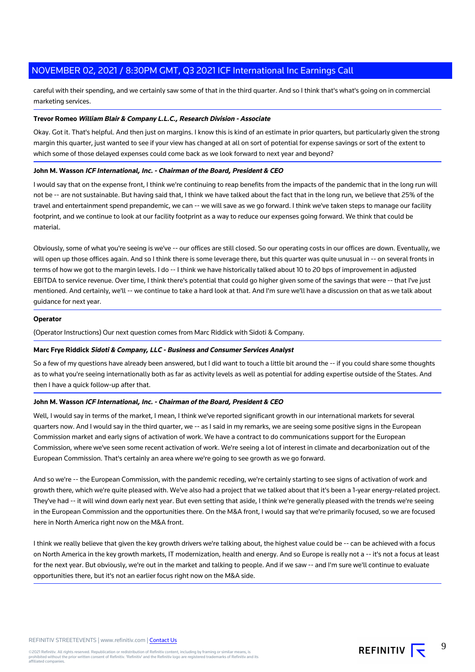careful with their spending, and we certainly saw some of that in the third quarter. And so I think that's what's going on in commercial marketing services.

## **Trevor Romeo William Blair & Company L.L.C., Research Division - Associate**

Okay. Got it. That's helpful. And then just on margins. I know this is kind of an estimate in prior quarters, but particularly given the strong margin this quarter, just wanted to see if your view has changed at all on sort of potential for expense savings or sort of the extent to which some of those delayed expenses could come back as we look forward to next year and beyond?

# **John M. Wasson ICF International, Inc. - Chairman of the Board, President & CEO**

I would say that on the expense front, I think we're continuing to reap benefits from the impacts of the pandemic that in the long run will not be -- are not sustainable. But having said that, I think we have talked about the fact that in the long run, we believe that 25% of the travel and entertainment spend prepandemic, we can -- we will save as we go forward. I think we've taken steps to manage our facility footprint, and we continue to look at our facility footprint as a way to reduce our expenses going forward. We think that could be material.

Obviously, some of what you're seeing is we've -- our offices are still closed. So our operating costs in our offices are down. Eventually, we will open up those offices again. And so I think there is some leverage there, but this quarter was quite unusual in -- on several fronts in terms of how we got to the margin levels. I do -- I think we have historically talked about 10 to 20 bps of improvement in adjusted EBITDA to service revenue. Over time, I think there's potential that could go higher given some of the savings that were -- that I've just mentioned. And certainly, we'll -- we continue to take a hard look at that. And I'm sure we'll have a discussion on that as we talk about guidance for next year.

# **Operator**

(Operator Instructions) Our next question comes from Marc Riddick with Sidoti & Company.

#### **Marc Frye Riddick Sidoti & Company, LLC - Business and Consumer Services Analyst**

So a few of my questions have already been answered, but I did want to touch a little bit around the -- if you could share some thoughts as to what you're seeing internationally both as far as activity levels as well as potential for adding expertise outside of the States. And then I have a quick follow-up after that.

#### **John M. Wasson ICF International, Inc. - Chairman of the Board, President & CEO**

Well, I would say in terms of the market, I mean, I think we've reported significant growth in our international markets for several quarters now. And I would say in the third quarter, we -- as I said in my remarks, we are seeing some positive signs in the European Commission market and early signs of activation of work. We have a contract to do communications support for the European Commission, where we've seen some recent activation of work. We're seeing a lot of interest in climate and decarbonization out of the European Commission. That's certainly an area where we're going to see growth as we go forward.

And so we're -- the European Commission, with the pandemic receding, we're certainly starting to see signs of activation of work and growth there, which we're quite pleased with. We've also had a project that we talked about that it's been a 1-year energy-related project. They've had -- it will wind down early next year. But even setting that aside, I think we're generally pleased with the trends we're seeing in the European Commission and the opportunities there. On the M&A front, I would say that we're primarily focused, so we are focused here in North America right now on the M&A front.

I think we really believe that given the key growth drivers we're talking about, the highest value could be -- can be achieved with a focus on North America in the key growth markets, IT modernization, health and energy. And so Europe is really not a -- it's not a focus at least for the next year. But obviously, we're out in the market and talking to people. And if we saw -- and I'm sure we'll continue to evaluate opportunities there, but it's not an earlier focus right now on the M&A side.



9